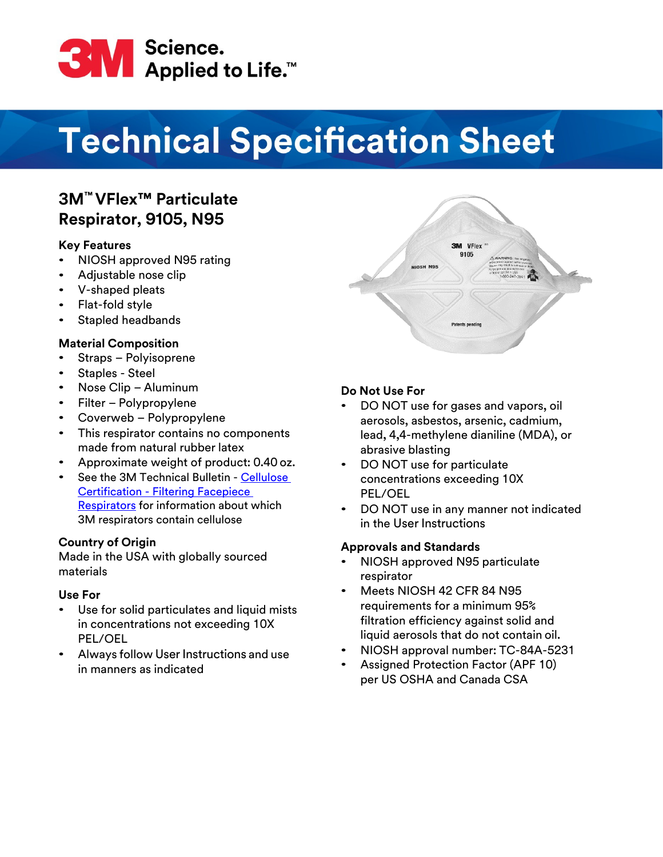

# **Technical Specification Sheet**

# **3M™ VFlex™ Particulate Respirator, 9105, N95**

## **Key Features**

- $\bullet$ NIOSH approved N95 rating
- Adjustable nose clip
- V-shaped pleats
- Flat-fold style
- Stapled headbands

## **Material Composition**

- Straps Polyisoprene
- Staples Steel
- Nose Clip Aluminum
- Filter Polypropylene
- Coverweb Polypropylene
- This respirator contains no components made from natural rubber latex
- Approximate weight of product: 0.40 oz.
- See the 3M Technical Bulletin - [Cellulose](https://multimedia.3m.com/mws/media/1824613O/cellulose-certification-filtering-facepiece-respirators.pdf) [Certification - Filtering Facepiece](https://multimedia.3m.com/mws/media/1824613O/cellulose-certification-filtering-facepiece-respirators.pdf) [Respirators](https://multimedia.3m.com/mws/media/1824613O/cellulose-certification-filtering-facepiece-respirators.pdf) for information about which 3M respirators contain cellulose

#### **Country of Origin**

Made in the USA with globally sourced materials

#### **Use For**

- Use for solid particulates and liquid mists in concentrations not exceeding 10X PEL/OEL
- Always follow User Instructions and use in manners as indicated



# **Do Not Use For**

- DO NOT use for gases and vapors, oil aerosols, asbestos, arsenic, cadmium, lead, 4,4-methylene dianiline (MDA), or abrasive blasting
- DO NOT use for particulate concentrations exceeding 10X PEL/OEL
- DO NOT use in any manner not indicated in the User Instructions

# **Approvals and Standards**

- NIOSH approved N95 particulate respirator
- Meets NIOSH 42 CFR 84 N95 requirements for a minimum 95% filtration efficiency against solid and liquid aerosols that do not contain oil.
- NIOSH approval number: TC-84A-5231
- Assigned Protection Factor (APF 10) per US OSHA and Canada CSA